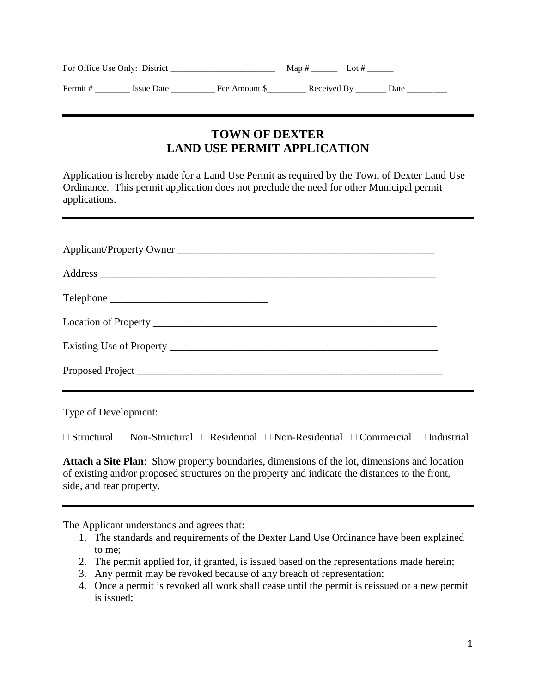| For Office Use Only: District |                   |               | Map#<br>Lot $#$ |                  |  |
|-------------------------------|-------------------|---------------|-----------------|------------------|--|
| Permit #                      | <b>Issue Date</b> | Fee Amount \$ |                 | Received By Date |  |

## **TOWN OF DEXTER LAND USE PERMIT APPLICATION**

Application is hereby made for a Land Use Permit as required by the Town of Dexter Land Use Ordinance. This permit application does not preclude the need for other Municipal permit applications.

Type of Development:

 $\Box$  Structural  $\Box$  Non-Structural  $\Box$  Residential  $\Box$  Non-Residential  $\Box$  Commercial  $\Box$  Industrial

**Attach a Site Plan**: Show property boundaries, dimensions of the lot, dimensions and location of existing and/or proposed structures on the property and indicate the distances to the front, side, and rear property.

The Applicant understands and agrees that:

- 1. The standards and requirements of the Dexter Land Use Ordinance have been explained to me;
- 2. The permit applied for, if granted, is issued based on the representations made herein;
- 3. Any permit may be revoked because of any breach of representation;
- 4. Once a permit is revoked all work shall cease until the permit is reissued or a new permit is issued;